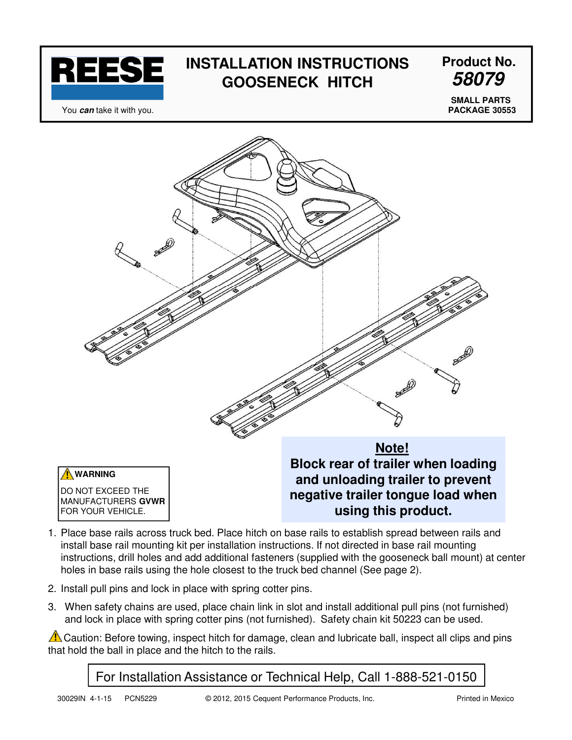

# **INSTALLATION INSTRUCTIONS Product No. GOOSENECK HITCH**

**58079**

You **can** take it with you.

**SMALL PARTS PACKAGE 30553**



- 1. Place base rails across truck bed. Place hitch on base rails to establish spread between rails and install base rail mounting kit per installation instructions. If not directed in base rail mounting instructions, drill holes and add additional fasteners (supplied with the gooseneck ball mount) at center holes in base rails using the hole closest to the truck bed channel (See page 2).
- 2. Install pull pins and lock in place with spring cotter pins.
- 3. When safety chains are used, place chain link in slot and install additional pull pins (not furnished) and lock in place with spring cotter pins (not furnished). Safety chain kit 50223 can be used.

 $\triangle$  Caution: Before towing, inspect hitch for damage, clean and lubricate ball, inspect all clips and pins that hold the ball in place and the hitch to the rails.

### For Installation Assistance or Technical Help, Call 1-888-521-0150